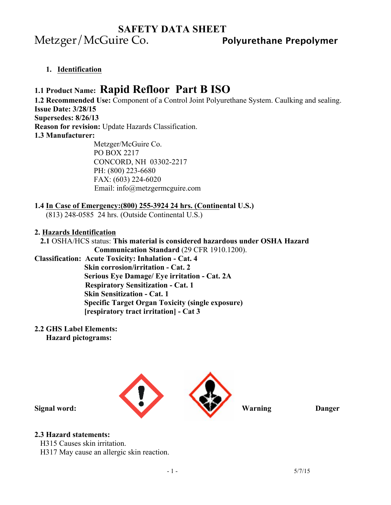# **SAFETY DATA SHEET** Metzger/McGuire Co. **Polyurethane Prepolymer**

**1. Identification** 

# **1.1 Product Name: Rapid Refloor Part B ISO**

**1.2 Recommended Use:** Component of a Control Joint Polyurethane System. Caulking and sealing. **Issue Date: 3/28/15 Supersedes: 8/26/13 Reason for revision:** Update Hazards Classification.

**1.3 Manufacturer:** 

Metzger/McGuire Co. PO BOX 2217 CONCORD, NH 03302-2217 PH: (800) 223-6680 FAX: (603) 224-6020 Email: info@metzgermcguire.com

### **1.4 In Case of Emergency:(800) 255-3924 24 hrs. (Continental U.S.)**

(813) 248-0585 24 hrs. (Outside Continental U.S.)

### **2. Hazards Identification**

## **2.1** OSHA/HCS status: **This material is considered hazardous under OSHA Hazard**

 **Communication Standard** (29 CFR 1910.1200). **Classification: Acute Toxicity: Inhalation - Cat. 4 Skin corrosion/irritation - Cat. 2 Serious Eye Damage/ Eye irritation - Cat. 2A Respiratory Sensitization - Cat. 1 Skin Sensitization - Cat. 1 Specific Target Organ Toxicity (single exposure) [respiratory tract irritation] - Cat 3** 

### **2.2 GHS Label Elements:**

 **Hazard pictograms:** 



## **2.3 Hazard statements:**

H315 Causes skin irritation.

H317 May cause an allergic skin reaction.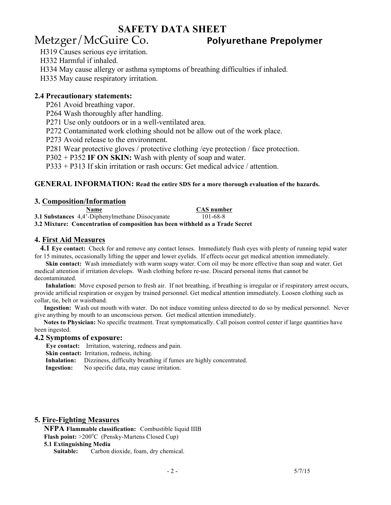## **SAFETY DATA SHEET**

# Metzger/McGuire Co. **Polyurethane Prepolymer**

H319 Causes serious eye irritation.

H332 Harmful if inhaled.

H334 May cause allergy or asthma symptoms of breathing difficulties if inhaled.

H335 May cause respiratory irritation.

### **2.4 Precautionary statements:**

P261 Avoid breathing vapor.

P264 Wash thoroughly after handling.

P271 Use only outdoors or in a well-ventilated area.

P272 Contaminated work clothing should not be allow out of the work place.

P273 Avoid release to the environment.

P281 Wear protective gloves / protective clothing /eye protection / face protection.

P302 + P352 **IF ON SKIN:** Wash with plenty of soap and water.

P333 + P313 If skin irritation or rash occurs: Get medical advice / attention.

#### **GENERAL INFORMATION: Read the entire SDS for a more thorough evaluation of the hazards.**

**3. Composition/Information Name CAS number 3.1 Substances** 4,4'-Diphenylmethane Diisocyanate 101-68-8 **3.2 Mixture: Concentration of composition has been withheld as a Trade Secret**

#### **4. First Aid Measures**

 **4.1 Eye contact:** Check for and remove any contact lenses. Immediately flush eyes with plenty of running tepid water for 15 minutes, occasionally lifting the upper and lower eyelids. If effects occur get medical attention immediately.

 **Skin contact:** Wash immediately with warm soapy water. Corn oil may be more effective than soap and water. Get medical attention if irritation develops. Wash clothing before re-use. Discard personal items that cannot be decontaminated.

 **Inhalation:** Move exposed person to fresh air. If not breathing, if breathing is irregular or if respiratory arrest occurs, provide artificial respiration or oxygen by trained personnel. Get medical attention immediately. Loosen clothing such as collar, tie, belt or waistband.

 **Ingestion:** Wash out mouth with water. Do not induce vomiting unless directed to do so by medical personnel. Never give anything by mouth to an unconscious person. Get medical attention immediately.

**Notes to Physician:** No specific treatment. Treat symptomatically. Call poison control center if large quantities have been ingested.

#### **4.2 Symptoms of exposure:**

 **Eye contact:** Irritation, watering, redness and pain.

**Skin contact:** Irritation, redness, itching.

**Inhalation:** Dizziness, difficulty breathing if fumes are highly concentrated.

**Ingestion:** No specific data, may cause irritation.

#### **5. Fire-Fighting Measures**

**NFPA Flammable classification:** Combustible liquid IIIB Flash point: >200°C (Pensky-Martens Closed Cup)

#### **5.1 Extinguishing Media**

 **Suitable:** Carbon dioxide, foam, dry chemical.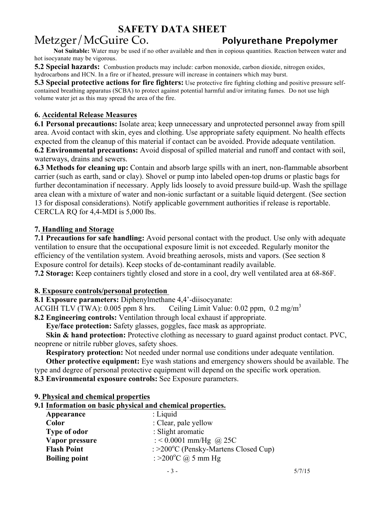# **SAFETY DATA SHEET**

# Metzger/McGuire Co. **Polyurethane Prepolymer**

 **Not Suitable:** Water may be used if no other available and then in copious quantities. Reaction between water and hot isocyanate may be vigorous.

**5.2 Special hazards:** Combustion products may include: carbon monoxide, carbon dioxide, nitrogen oxides, hydrocarbons and HCN. In a fire or if heated, pressure will increase in containers which may burst.

**5.3 Special protective actions for fire fighters:** Use protective fire fighting clothing and positive pressure selfcontained breathing apparatus (SCBA) to protect against potential harmful and/or irritating fumes. Do not use high volume water jet as this may spread the area of the fire.

## **6. Accidental Release Measures**

**6.1 Personal precautions:** Isolate area; keep unnecessary and unprotected personnel away from spill area. Avoid contact with skin, eyes and clothing. Use appropriate safety equipment. No health effects expected from the cleanup of this material if contact can be avoided. Provide adequate ventilation. **6.2 Environmental precautions:** Avoid disposal of spilled material and runoff and contact with soil,

waterways, drains and sewers.

**6.3 Methods for cleaning up:** Contain and absorb large spills with an inert, non-flammable absorbent carrier (such as earth, sand or clay). Shovel or pump into labeled open-top drums or plastic bags for further decontamination if necessary. Apply lids loosely to avoid pressure build-up. Wash the spillage area clean with a mixture of water and non-ionic surfactant or a suitable liquid detergent. (See section 13 for disposal considerations). Notify applicable government authorities if release is reportable. CERCLA RQ for 4,4-MDI is 5,000 lbs.

## **7. Handling and Storage**

**7.1 Precautions for safe handling:** Avoid personal contact with the product. Use only with adequate ventilation to ensure that the occupational exposure limit is not exceeded. Regularly monitor the efficiency of the ventilation system. Avoid breathing aerosols, mists and vapors. (See section 8 Exposure control for details). Keep stocks of de-contaminant readily available.

**7.2 Storage:** Keep containers tightly closed and store in a cool, dry well ventilated area at 68-86F.

## **8. Exposure controls/personal protection**

**8.1 Exposure parameters:** Diphenylmethane 4,4'-diisocyanate:

ACGIH TLV (TWA): 0.005 ppm 8 hrs. Ceiling Limit Value: 0.02 ppm,  $0.2 \text{ mg/m}^3$ 

**8.2 Engineering controls:** Ventilation through local exhaust if appropriate.

**Eye/face protection:** Safety glasses, goggles, face mask as appropriate.

**Skin & hand protection:** Protective clothing as necessary to guard against product contact. PVC, neoprene or nitrile rubber gloves, safety shoes.

**Respiratory protection:** Not needed under normal use conditions under adequate ventilation.

 **Other protective equipment:** Eye wash stations and emergency showers should be available. The type and degree of personal protective equipment will depend on the specific work operation.

**8.3 Environmental exposure controls:** See Exposure parameters.

### **9. Physical and chemical properties**

## **9.1 Information on basic physical and chemical properties.**

| Appearance           | $:$ Liquid                           |
|----------------------|--------------------------------------|
| Color                | : Clear, pale yellow                 |
| <b>Type of odor</b>  | : Slight aromatic                    |
| Vapor pressure       | : < 0.0001 mm/Hg @ 25C               |
| <b>Flash Point</b>   | : >200°C (Pensky-Martens Closed Cup) |
| <b>Boiling point</b> | : >200 $^{\circ}$ C @ 5 mm Hg        |
|                      |                                      |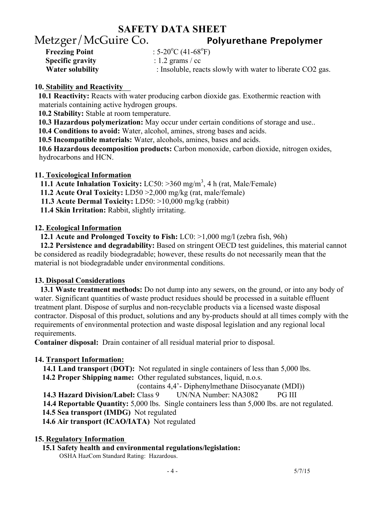# **SAFETY DATA SHEET** Metzger/McGuire Co. **Polyurethane Prepolymer**

| <b>Freezing Point</b>   | : $5-20^{\circ}$ C (41-68 <sup>o</sup> F) |
|-------------------------|-------------------------------------------|
| <b>Specific gravity</b> | : 1.2 grams $\frac{\prime}{\prime}$ cc    |
| <b>Water solubility</b> | : Insoluble, reacts                       |

**: Insoluble, reacts slowly with water to liberate CO2 gas.** 

## **10. Stability and Reactivity**

 **10.1 Reactivity:** Reacts with water producing carbon dioxide gas. Exothermic reaction with materials containing active hydrogen groups.

 **10.2 Stability:** Stable at room temperature.

**10.3 Hazardous polymerization:** May occur under certain conditions of storage and use..

**10.4 Conditions to avoid:** Water, alcohol, amines, strong bases and acids.

**10.5 Incompatible materials:** Water, alcohols, amines, bases and acids.

 **10.6 Hazardous decomposition products:** Carbon monoxide, carbon dioxide, nitrogen oxides, hydrocarbons and HCN.

## **11. Toxicological Information**

11.1 Acute Inhalation Toxicity: LC50: >360 mg/m<sup>3</sup>, 4 h (rat, Male/Female)

**11.2 Acute Oral Toxicity:** LD50 >2,000 mg/kg (rat, male/female)

**11.3 Acute Dermal Toxicity:** LD50: >10,000 mg/kg (rabbit)

**11.4 Skin Irritation:** Rabbit, slightly irritating.

## **12. Ecological Information**

**12.1 Acute and Prolonged Toxcity to Fish:** LC0: >1,000 mg/l (zebra fish, 96h)

 **12.2 Persistence and degradability:** Based on stringent OECD test guidelines, this material cannot be considered as readily biodegradable; however, these results do not necessarily mean that the material is not biodegradable under environmental conditions.

## **13. Disposal Considerations**

 **13.1 Waste treatment methods:** Do not dump into any sewers, on the ground, or into any body of water. Significant quantities of waste product residues should be processed in a suitable effluent treatment plant. Dispose of surplus and non-recyclable products via a licensed waste disposal contractor. Disposal of this product, solutions and any by-products should at all times comply with the requirements of environmental protection and waste disposal legislation and any regional local requirements.

**Container disposal:** Drain container of all residual material prior to disposal.

## **14. Transport Information:**

**14.1 Land transport** (**DOT):** Not regulated in single containers of less than 5,000 lbs.

**14.2 Proper Shipping name:** Other regulated substances, liquid, n.o.s.

(contains 4,4'- Diphenylmethane Diisocyanate (MDI))

**14.3 Hazard Division/Label:** Class 9 UN/NA Number: NA3082 PG III

**14.4 Reportable Quantity:** 5,000 lbs. Single containers less than 5,000 lbs. are not regulated.

**14.5 Sea transport (IMDG)** Not regulated

**14.6 Air transport (ICAO/IATA)** Not regulated

## **15. Regulatory Information**

**15.1 Safety health and environmental regulations/legislation:**

OSHA HazCom Standard Rating: Hazardous.